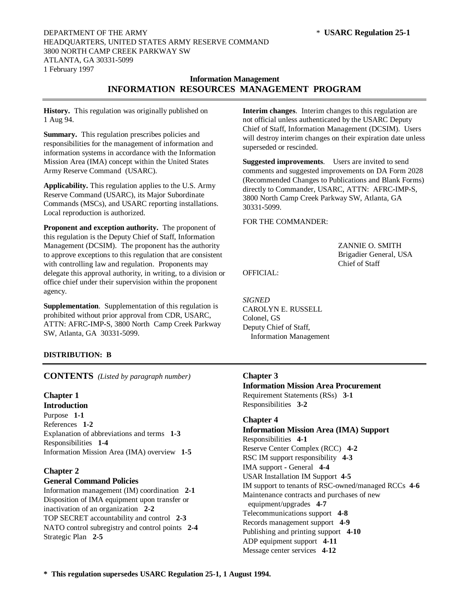# **Information Management INFORMATION RESOURCES MANAGEMENT PROGRAM**

**History.** This regulation was originally published on 1 Aug 94.

**Summary.** This regulation prescribes policies and responsibilities for the management of information and information systems in accordance with the Information Mission Area (IMA) concept within the United States Army Reserve Command (USARC).

**Applicability.** This regulation applies to the U.S. Army Reserve Command (USARC), its Major Subordinate Commands (MSCs), and USARC reporting installations. Local reproduction is authorized.

**Proponent and exception authority.** The proponent of this regulation is the Deputy Chief of Staff, Information Management (DCSIM). The proponent has the authority to approve exceptions to this regulation that are consistent with controlling law and regulation. Proponents may delegate this approval authority, in writing, to a division or office chief under their supervision within the proponent agency.

**Supplementation**. Supplementation of this regulation is prohibited without prior approval from CDR, USARC, ATTN: AFRC*-*IMP*-*S, 3800 North Camp Creek Parkway SW, Atlanta, GA 30331*-*5099.

**Interim changes**. Interim changes to this regulation are not official unless authenticated by the USARC Deputy Chief of Staff, Information Management (DCSIM). Users will destroy interim changes on their expiration date unless superseded or rescinded.

**Suggested improvements**. Users are invited to send comments and suggested improvements on DA Form 2028 (Recommended Changes to Publications and Blank Forms) directly to Commander, USARC, ATTN: AFRC*-*IMP*-*S, 3800 North Camp Creek Parkway SW, Atlanta, GA 30331*-*5099.

FOR THE COMMANDER:

ZANNIE O. SMITH Brigadier General, USA Chief of Staff

OFFICIAL:

*SIGNED* CAROLYN E. RUSSELL Colonel, GS Deputy Chief of Staff, Information Management

# **DISTRIBUTION: B**

**CONTENTS** *(Listed by paragraph number)*

# **Chapter 1**

**Introduction** Purpose **1***-***1** References **1***-***2** Explanation of abbreviations and terms **1***-***3** Responsibilities **1***-***4** Information Mission Area (IMA) overview **1***-***5**

# **Chapter 2**

# **General Command Policies**

Information management (IM) coordination **2***-***1** Disposition of IMA equipment upon transfer or inactivation of an organization **2***-***2** TOP SECRET accountability and control **2***-***3** NATO control subregistry and control points **2***-***4** Strategic Plan **2***-***5**

# **Chapter 3**

**Information Mission Area Procurement** Requirement Statements (RSs) **3***-***1** Responsibilities **3***-***2**

# **Chapter 4**

**Information Mission Area (IMA) Support** Responsibilities **4***-***1** Reserve Center Complex (RCC) **4***-***2** RSC IM support responsibility **4***-***3** IMA support *-* General **4***-***4** USAR Installation IM Support **4***-***5** IM support to tenants of RSC-owned/managed RCCs **4***-***6** Maintenance contracts and purchases of new equipment/upgrades **4***-***7** Telecommunications support **4***-***8** Records management support **4***-***9** Publishing and printing support **4***-***10** ADP equipment support **4***-***11** Message center services **4***-***12**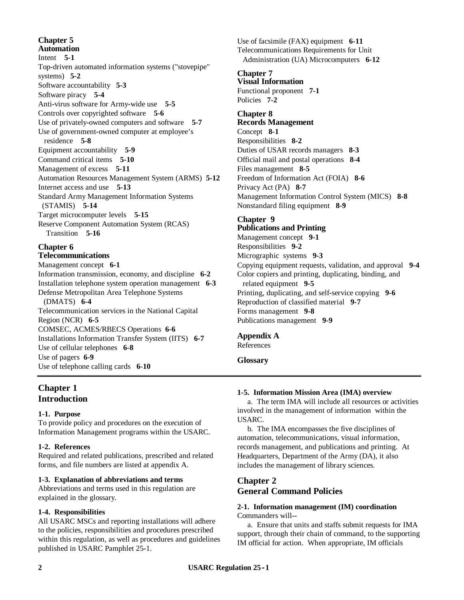**Chapter 5 Automation** Intent **5***-***1** Top*-*driven automated information systems ("stovepipe" systems) **5***-***2** Software accountability **5***-***3** Software piracy **5***-***4** Anti*-*virus software for Army*-*wide use **5***-***5** Controls over copyrighted software **5***-***6** Use of privately*-*owned computers and software **5***-***7** Use of government*-*owned computer at employee's residence **5***-***8** Equipment accountability **5***-***9** Command critical items **5***-***10** Management of excess **5***-***11** Automation Resources Management System (ARMS) **5***-***12** Internet access and use **5***-***13** Standard Army Management Information Systems (STAMIS) **5***-***14** Target microcomputer levels **5***-***15** Reserve Component Automation System (RCAS) Transition **5***-***16 Chapter 6**

# **Telecommunications**

Management concept **6***-***1** Information transmission, economy, and discipline **6***-***2** Installation telephone system operation management **6***-***3** Defense Metropolitan Area Telephone Systems (DMATS) **6***-***4** Telecommunication services in the National Capital Region (NCR) **6***-***5** COMSEC, ACMES/RBECS Operations **6***-***6** Installations Information Transfer System (IITS) **6***-***7** Use of cellular telephones **6***-***8** Use of pagers **6-9** Use of telephone calling cards **6***-***10**

# **Chapter 1 Introduction**

# **1***-***1. Purpose**

To provide policy and procedures on the execution of Information Management programs within the USARC.

# **1***-***2. References**

Required and related publications, prescribed and related forms, and file numbers are listed at appendix A.

# **1***-***3. Explanation of abbreviations and terms**

Abbreviations and terms used in this regulation are explained in the glossary.

# **1***-***4. Responsibilities**

All USARC MSCs and reporting installations will adhere to the policies, responsibilities and procedures prescribed within this regulation, as well as procedures and guidelines published in USARC Pamphlet 25*-*1.

Use of facsimile (FAX) equipment **6***-***11** Telecommunications Requirements for Unit Administration (UA) Microcomputers **6***-***12**

#### **Chapter 7 Visual Information**

Functional proponent **7***-***1** Policies **7***-***2**

# **Chapter 8**

**Records Management** Concept **8***-***1** Responsibilities **8***-***2** Duties of USAR records managers **8***-***3** Official mail and postal operations **8***-***4** Files management **8***-***5** Freedom of Information Act (FOIA) **8***-***6** Privacy Act (PA) **8***-***7** Management Information Control System (MICS) **8***-***8** Nonstandard filing equipment **8***-***9**

# **Chapter 9**

# **Publications and Printing**

Management concept **9***-***1** Responsibilities **9***-***2** Micrographic systems **9***-***3** Copying equipment requests, validation, and approval **9***-***4** Color copiers and printing, duplicating, binding, and related equipment **9***-***5** Printing, duplicating, and self*-*service copying **9***-***6** Reproduction of classified material **9***-***7** Forms management **9***-***8** Publications management **9***-***9**

# **Appendix A**

References

**Glossary**

# **1***-***5. Information Mission Area (IMA) overview**

a. The term IMA will include all resources or activities involved in the management of information within the USARC.

b. The IMA encompasses the five disciplines of automation, telecommunications, visual information, records management, and publications and printing. At Headquarters, Department of the Army (DA), it also includes the management of library sciences.

# **Chapter 2 General Command Policies**

# **2***-***1. Information management (IM) coordination** Commanders will*--*

a. Ensure that units and staffs submit requests for IMA support, through their chain of command, to the supporting IM official for action. When appropriate, IM officials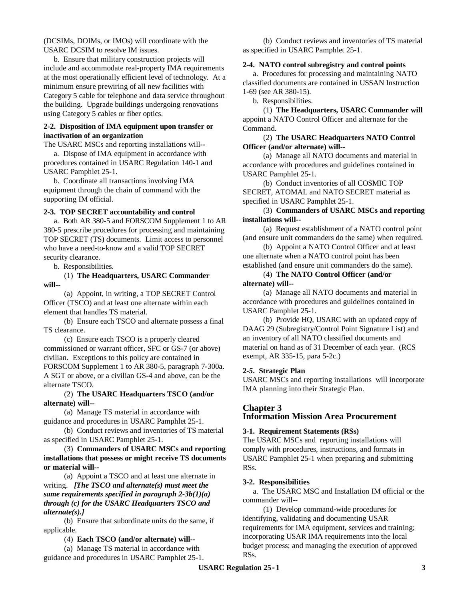(DCSIMs, DOIMs, or IMOs) will coordinate with the USARC DCSIM to resolve IM issues.

b. Ensure that military construction projects will include and accommodate real*-*property IMA requirements at the most operationally efficient level of technology. At a minimum ensure prewiring of all new facilities with Category 5 cable for telephone and data service throughout the building. Upgrade buildings undergoing renovations using Category 5 cables or fiber optics.

# **2***-***2. Disposition of IMA equipment upon transfer or inactivation of an organization**

The USARC MSCs and reporting installations will*--*

a. Dispose of IMA equipment in accordance with procedures contained in USARC Regulation 140*-*1 and USARC Pamphlet 25*-*1.

b. Coordinate all transactions involving IMA equipment through the chain of command with the supporting IM official.

# **2***-***3. TOP SECRET accountability and control**

a. Both AR 380*-*5 and FORSCOM Supplement 1 to AR 380*-*5 prescribe procedures for processing and maintaining TOP SECRET (TS) documents. Limit access to personnel who have a need*-*to*-*know and a valid TOP SECRET security clearance.

b. Responsibilities.

(1) **The Headquarters, USARC Commander will***--*

(a) Appoint, in writing, a TOP SECRET Control Officer (TSCO) and at least one alternate within each element that handles TS material.

(b) Ensure each TSCO and alternate possess a final TS clearance.

(c) Ensure each TSCO is a properly cleared commissioned or warrant officer, SFC or GS*-*7 (or above) civilian. Exceptions to this policy are contained in FORSCOM Supplement 1 to AR 380*-*5, paragraph 7*-*300a. A SGT or above, or a civilian GS*-*4 and above, can be the alternate TSCO.

(2) **The USARC Headquarters TSCO (and/or alternate) will***--*

(a) Manage TS material in accordance with guidance and procedures in USARC Pamphlet 25*-*1.

(b) Conduct reviews and inventories of TS material as specified in USARC Pamphlet 25*-*1.

(3) **Commanders of USARC MSCs and reporting installations that possess or might receive TS documents or material will***--*

(a) Appoint a TSCO and at least one alternate in writing. *[The TSCO and alternate(s) must meet the same requirements specified in paragraph 2-3b(1)(a) through (c) for the USARC Headquarters TSCO and alternate(s).]*

(b) Ensure that subordinate units do the same, if applicable.

(4) **Each TSCO (and/or alternate) will***--*

(a) Manage TS material in accordance with guidance and procedures in USARC Pamphlet 25*-*1.

(b) Conduct reviews and inventories of TS material as specified in USARC Pamphlet 25*-*1.

# **2***-***4. NATO control subregistry and control points**

a. Procedures for processing and maintaining NATO classified documents are contained in USSAN Instruction 1*-*69 (see AR 380*-*15).

b. Responsibilities.

(1) **The Headquarters, USARC Commander will** appoint a NATO Control Officer and alternate for the Command.

# (2) **The USARC Headquarters NATO Control Officer (and/or alternate) will***--*

(a) Manage all NATO documents and material in accordance with procedures and guidelines contained in USARC Pamphlet 25*-*1.

(b) Conduct inventories of all COSMIC TOP SECRET, ATOMAL and NATO SECRET material as specified in USARC Pamphlet 25*-*1.

# (3) **Commanders of USARC MSCs and reporting installations will***--*

(a) Request establishment of a NATO control point (and ensure unit commanders do the same) when required.

(b) Appoint a NATO Control Officer and at least one alternate when a NATO control point has been established (and ensure unit commanders do the same).

(4) **The NATO Control Officer (and/or alternate) will***--*

(a) Manage all NATO documents and material in accordance with procedures and guidelines contained in USARC Pamphlet 25*-*1.

(b) Provide HQ, USARC with an updated copy of DAAG 29 (Subregistry/Control Point Signature List) and an inventory of all NATO classified documents and material on hand as of 31 December of each year. (RCS exempt, AR 335-15, para 5-2c.)

# **2***-5***. Strategic Plan**

USARC MSCs and reporting installations will incorporate IMA planning into their Strategic Plan.

# **Chapter 3 Information Mission Area Procurement**

# **3***-***1. Requirement Statements (RSs)**

The USARC MSCs and reporting installations will comply with procedures, instructions, and formats in USARC Pamphlet 25*-*1 when preparing and submitting RSs.

# **3***-***2. Responsibilities**

a. The USARC MSC and Installation IM official or the commander will*--*

(1) Develop command*-*wide procedures for identifying, validating and documenting USAR requirements for IMA equipment, services and training; incorporating USAR IMA requirements into the local budget process; and managing the execution of approved RSs.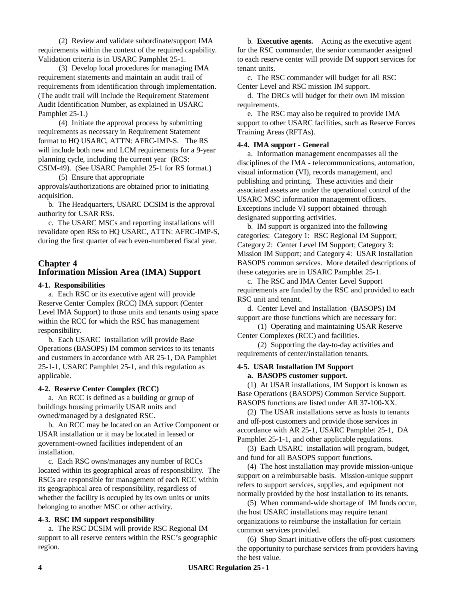(2) Review and validate subordinate/support IMA requirements within the context of the required capability. Validation criteria is in USARC Pamphlet 25*-*1.

(3) Develop local procedures for managing IMA requirement statements and maintain an audit trail of requirements from identification through implementation. (The audit trail will include the Requirement Statement Audit Identification Number, as explained in USARC Pamphlet 25*-*1.)

(4) Initiate the approval process by submitting requirements as necessary in Requirement Statement format to HQ USARC, ATTN: AFRC*-*IMP*-*S. The RS will include both new and LCM requirements for a 9-year planning cycle, including the current year (RCS: CSIM-49). (See USARC Pamphlet 25*-*1 for RS format.)

(5) Ensure that appropriate

approvals/authorizations are obtained prior to initiating acquisition.

b. The Headquarters, USARC DCSIM is the approval authority for USAR RSs.

c. The USARC MSCs and reporting installations will revalidate open RSs to HQ USARC, ATTN: AFRC*-*IMP*-*S, during the first quarter of each even*-*numbered fiscal year.

# **Chapter 4 Information Mission Area (IMA) Support**

## **4***-***1. Responsibilities**

a. Each RSC or its executive agent will provide Reserve Center Complex (RCC) IMA support (Center Level IMA Support) to those units and tenants using space within the RCC for which the RSC has management responsibility.

b. Each USARC installation will provide Base Operations (BASOPS) IM common services to its tenants and customers in accordance with AR 25*-*1, DA Pamphlet 25*-*1*-*1, USARC Pamphlet 25-1, and this regulation as applicable.

# **4***-***2. Reserve Center Complex (RCC)**

a. An RCC is defined as a building or group of buildings housing primarily USAR units and owned/managed by a designated RSC.

b. An RCC may be located on an Active Component or USAR installation or it may be located in leased or government*-*owned facilities independent of an installation.

c. Each RSC owns/manages any number of RCCs located within its geographical areas of responsibility. The RSCs are responsible for management of each RCC within its geographical area of responsibility, regardless of whether the facility is occupied by its own units or units belonging to another MSC or other activity.

#### **4***-***3. RSC IM support responsibility**

a. The RSC DCSIM will provide RSC Regional IM support to all reserve centers within the RSC's geographic region.

b. **Executive agents.** Acting as the executive agent for the RSC commander, the senior commander assigned to each reserve center will provide IM support services for tenant units.

c. The RSC commander will budget for all RSC Center Level and RSC mission IM support.

d. The DRCs will budget for their own IM mission requirements.

e. The RSC may also be required to provide IMA support to other USARC facilities, such as Reserve Forces Training Areas (RFTAs).

#### **4***-***4. IMA support** *-* **General**

a. Information management encompasses all the disciplines of the IMA *-* telecommunications, automation, visual information (VI), records management, and publishing and printing. These activities and their associated assets are under the operational control of the USARC MSC information management officers. Exceptions include VI support obtained through designated supporting activities.

b. IM support is organized into the following categories: Category 1: RSC Regional IM Support; Category 2: Center Level IM Support; Category 3: Mission IM Support; and Category 4: USAR Installation BASOPS common services. More detailed descriptions of these categories are in USARC Pamphlet 25*-*1.

c. The RSC and IMA Center Level Support requirements are funded by the RSC and provided to each RSC unit and tenant.

d. Center Level and Installation (BASOPS) IM support are those functions which are necessary for:

(1) Operating and maintaining USAR Reserve Center Complexes (RCC) and facilities.

(2) Supporting the day-to-day activities and requirements of center/installation tenants.

#### **4***-***5. USAR Installation IM Support a. BASOPS customer support.**

(1) At USAR installations, IM Support is known as Base Operations (BASOPS) Common Service Support. BASOPS functions are listed under AR 37*-*100*-*XX.

(2) The USAR installations serve as hosts to tenants and off*-*post customers and provide those services in accordance with AR 25-1, USARC Pamphlet 25-1, DA Pamphlet 25*-*1*-*1, and other applicable regulations.

(3) Each USARC installation will program, budget, and fund for all BASOPS support functions.

(4) The host installation may provide mission*-*unique support on a reimbursable basis. Mission*-*unique support refers to support services, supplies, and equipment not normally provided by the host installation to its tenants.

(5) When command*-*wide shortage of IM funds occur, the host USARC installations may require tenant organizations to reimburse the installation for certain common services provided.

(6) Shop Smart initiative offers the off*-*post customers the opportunity to purchase services from providers having the best value.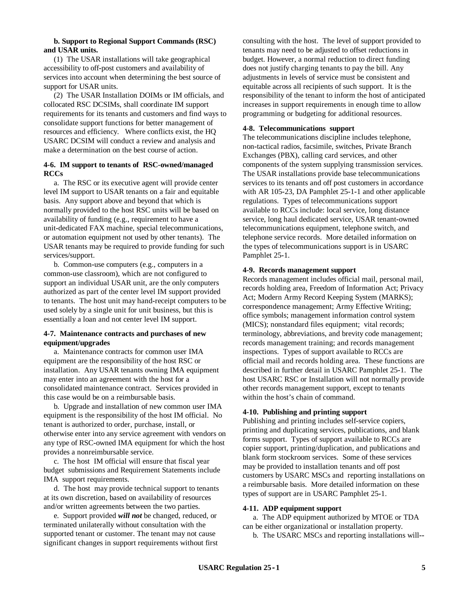## **b. Support to Regional Support Commands (RSC) and USAR units.**

(1) The USAR installations will take geographical accessibility to off*-*post customers and availability of services into account when determining the best source of support for USAR units.

(2) The USAR Installation DOIMs or IM officials, and collocated RSC DCSIMs, shall coordinate IM support requirements for its tenants and customers and find ways to consolidate support functions for better management of resources and efficiency. Where conflicts exist, the HQ USARC DCSIM will conduct a review and analysis and make a determination on the best course of action.

# **4***-***6. IM support to tenants of RSC***-***owned/managed RCCs**

a. The RSC or its executive agent will provide center level IM support to USAR tenants on a fair and equitable basis. Any support above and beyond that which is normally provided to the host RSC units will be based on availability of funding (e.g., requirement to have a unit*-*dedicated FAX machine, special telecommunications, or automation equipment not used by other tenants). The USAR tenants may be required to provide funding for such services/support.

b. Common*-*use computers (e.g., computers in a common*-*use classroom), which are not configured to support an individual USAR unit, are the only computers authorized as part of the center level IM support provided to tenants. The host unit may hand*-*receipt computers to be used solely by a single unit for unit business, but this is essentially a loan and not center level IM support.

# **4***-***7. Maintenance contracts and purchases of new equipment/upgrades**

a. Maintenance contracts for common user IMA equipment are the responsibility of the host RSC or installation. Any USAR tenants owning IMA equipment may enter into an agreement with the host for a consolidated maintenance contract. Services provided in this case would be on a reimbursable basis.

b. Upgrade and installation of new common user IMA equipment is the responsibility of the host IM official. No tenant is authorized to order, purchase, install, or otherwise enter into any service agreement with vendors on any type of RSC**-**owned IMA equipment for which the host provides a nonreimbursable service.

c. The host IM official will ensure that fiscal year budget submissions and Requirement Statements include IMA support requirements.

d. The host may provide technical support to tenants at its own discretion, based on availability of resources and/or written agreements between the two parties.

e. Support provided *will not* be changed, reduced, or terminated unilaterally without consultation with the supported tenant or customer. The tenant may not cause significant changes in support requirements without first consulting with the host. The level of support provided to tenants may need to be adjusted to offset reductions in budget. However, a normal reduction to direct funding does not justify charging tenants to pay the bill. Any adjustments in levels of service must be consistent and equitable across all recipients of such support. It is the responsibility of the tenant to inform the host of anticipated increases in support requirements in enough time to allow programming or budgeting for additional resources.

# **4***-***8. Telecommunications support**

The telecommunications discipline includes telephone, non*-*tactical radios, facsimile, switches, Private Branch Exchanges (PBX), calling card services, and other components of the system supplying transmission services. The USAR installations provide base telecommunications services to its tenants and off post customers in accordance with AR 105*-*23, DA Pamphlet 25*-*1*-*1 and other applicable regulations. Types of telecommunications support available to RCCs include: local service, long distance service, long haul dedicated service, USAR tenant*-*owned telecommunications equipment, telephone switch, and telephone service records. More detailed information on the types of telecommunications support is in USARC Pamphlet 25*-*1.

# **4***-***9. Records management support**

Records management includes official mail, personal mail, records holding area, Freedom of Information Act; Privacy Act; Modern Army Record Keeping System (MARKS); correspondence management; Army Effective Writing; office symbols; management information control system (MICS); nonstandard files equipment; vital records; terminology, abbreviations, and brevity code management; records management training; and records management inspections. Types of support available to RCCs are official mail and records holding area. These functions are described in further detail in USARC Pamphlet 25*-*1. The host USARC RSC or Installation will not normally provide other records management support, except to tenants within the host's chain of command.

# **4***-***10. Publishing and printing support**

Publishing and printing includes self*-*service copiers, printing and duplicating services, publications, and blank forms support. Types of support available to RCCs are copier support, printing/duplication, and publications and blank form stockroom services. Some of these services may be provided to installation tenants and off post customers by USARC MSCs and reporting installations on a reimbursable basis. More detailed information on these types of support are in USARC Pamphlet 25*-*1.

### **4***-***11. ADP equipment support**

a. The ADP equipment authorized by MTOE or TDA can be either organizational or installation property.

b. The USARC MSCs and reporting installations will*--*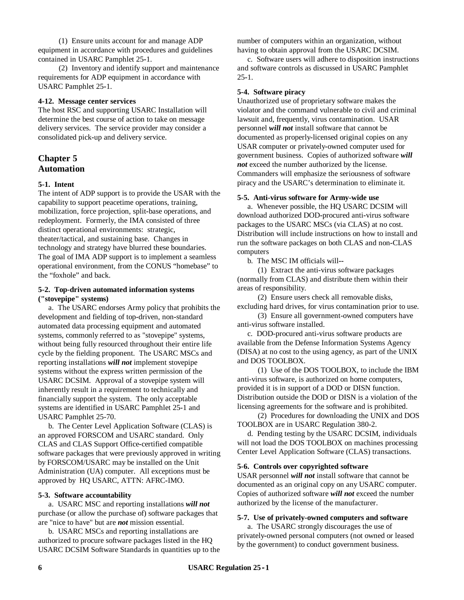(1) Ensure units account for and manage ADP equipment in accordance with procedures and guidelines contained in USARC Pamphlet 25*-*1.

(2) Inventory and identify support and maintenance requirements for ADP equipment in accordance with USARC Pamphlet 25*-*1.

## **4***-***12. Message center services**

The host RSC and supporting USARC Installation will determine the best course of action to take on message delivery services. The service provider may consider a consolidated pick*-*up and delivery service.

# **Chapter 5 Automation**

## **5***-***1. Intent**

The intent of ADP support is to provide the USAR with the capability to support peacetime operations, training, mobilization, force projection, split*-*base operations, and redeployment. Formerly, the IMA consisted of three distinct operational environments: strategic, theater/tactical, and sustaining base. Changes in technology and strategy have blurred these boundaries. The goal of IMA ADP support is to implement a seamless operational environment, from the CONUS "homebase" to the "foxhole" and back.

### **5***-***2. Top***-***driven automated information systems ("stovepipe" systems)**

a. The USARC endorses Army policy that prohibits the development and fielding of top*-*driven, non*-*standard automated data processing equipment and automated systems, commonly referred to as "stovepipe" systems, without being fully resourced throughout their entire life cycle by the fielding proponent. The USARC MSCs and reporting installations *will not* implement stovepipe systems without the express written permission of the USARC DCSIM. Approval of a stovepipe system will inherently result in a requirement to technically and financially support the system. The only acceptable systems are identified in USARC Pamphlet 25*-*1 and USARC Pamphlet 25-70.

b. The Center Level Application Software (CLAS) is an approved FORSCOM and USARC standard. Only CLAS and CLAS Support Office*-*certified compatible software packages that were previously approved in writing by FORSCOM/USARC may be installed on the Unit Administration (UA) computer. All exceptions must be approved by HQ USARC, ATTN: AFRC*-*IMO.

#### **5***-***3. Software accountability**

a. USARC MSC and reporting installations *will not* purchase (or allow the purchase of) software packages that are "nice to have" but are *not* mission essential.

b. USARC MSCs and reporting installations are authorized to procure software packages listed in the HQ USARC DCSIM Software Standards in quantities up to the number of computers within an organization, without having to obtain approval from the USARC DCSIM.

c. Software users will adhere to disposition instructions and software controls as discussed in USARC Pamphlet 25*-*1.

## **5***-***4. Software piracy**

Unauthorized use of proprietary software makes the violator and the command vulnerable to civil and criminal lawsuit and, frequently, virus contamination. USAR personnel *will not* install software that cannot be documented as properly*-*licensed original copies on any USAR computer or privately*-*owned computer used for government business. Copies of authorized software *will not* exceed the number authorized by the license. Commanders will emphasize the seriousness of software piracy and the USARC's determination to eliminate it.

## **5***-***5. Anti***-***virus software for Army***-***wide use**

a. Whenever possible, the HQ USARC DCSIM will download authorized DOD*-*procured anti*-*virus software packages to the USARC MSCs (via CLAS) at no cost. Distribution will include instructions on how to install and run the software packages on both CLAS and non*-*CLAS computers

b. The MSC IM officials will*--*

(1) Extract the anti*-*virus software packages (normally from CLAS) and distribute them within their areas of responsibility.

(2) Ensure users check all removable disks, excluding hard drives, for virus contamination prior to use.

(3) Ensure all government-owned computers have anti-virus software installed.

c. DOD-procured anti-virus software products are available from the Defense Information Systems Agency (DISA) at no cost to the using agency, as part of the UNIX and DOS TOOLBOX.

(1) Use of the DOS TOOLBOX, to include the IBM anti-virus software, is authorized on home computers, provided it is in support of a DOD or DISN function. Distribution outside the DOD or DISN is a violation of the licensing agreements for the software and is prohibited.

(2) Procedures for downloading the UNIX and DOS TOOLBOX are in USARC Regulation 380-2.

d. Pending testing by the USARC DCSIM, individuals will not load the DOS TOOLBOX on machines processing Center Level Application Software (CLAS) transactions.

#### **5***-***6. Controls over copyrighted software**

USAR personnel *will not* install software that cannot be documented as an original copy on any USARC computer. Copies of authorized software *will not* exceed the number authorized by the license of the manufacturer.

#### **5***-***7. Use of privately***-***owned computers and software**

a. The USARC strongly discourages the use of privately*-*owned personal computers (not owned or leased by the government) to conduct government business.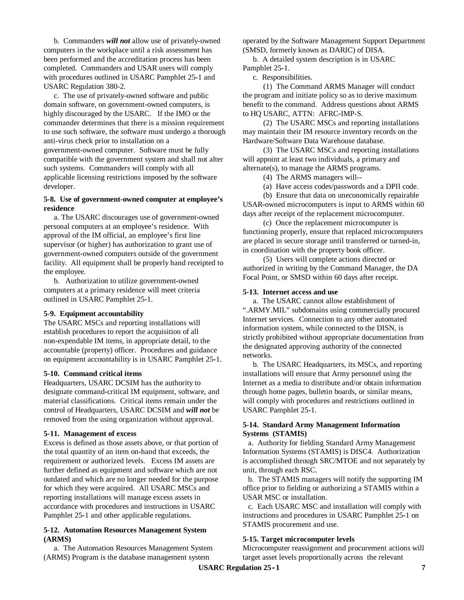b. Commanders *will not* allow use of privately*-*owned computers in the workplace until a risk assessment has been performed and the accreditation process has been completed. Commanders and USAR users will comply with procedures outlined in USARC Pamphlet 25*-*1 and USARC Regulation 380-2.

c. The use of privately-owned software and public domain software, on government-owned computers, is highly discouraged by the USARC. If the IMO or the commander determines that there is a mission requirement to use such software, the software must undergo a thorough anti-virus check prior to installation on a government-owned computer. Software must be fully compatible with the government system and shall not alter such systems. Commanders will comply with all applicable licensing restrictions imposed by the software developer.

# **5***-***8. Use of government***-***owned computer at employee's residence**

a. The USARC discourages use of government*-*owned personal computers at an employee's residence. With approval of the IM official, an employee's first line supervisor (or higher) has authorization to grant use of government*-*owned computers outside of the government facility. All equipment shall be properly hand receipted to the employee.

b. Authorization to utilize government*-*owned computers at a primary residence will meet criteria outlined in USARC Pamphlet 25*-*1.

# **5***-***9. Equipment accountability**

The USARC MSCs and reporting installations will establish procedures to report the acquisition of all non*-*expendable IM items, in appropriate detail, to the accountable (property) officer. Procedures and guidance on equipment accountability is in USARC Pamphlet 25*-*1.

#### **5***-***10. Command critical items**

Headquarters, USARC DCSIM has the authority to designate command*-*critical IM equipment, software, and material classifications. Critical items remain under the control of Headquarters, USARC DCSIM and *will not* be removed from the using organization without approval.

#### **5***-***11. Management of excess**

Excess is defined as those assets above, or that portion of the total quantity of an item on*-*hand that exceeds, the requirement or authorized levels. Excess IM assets are further defined as equipment and software which are not outdated and which are no longer needed for the purpose for which they were acquired. All USARC MSCs and reporting installations will manage excess assets in accordance with procedures and instructions in USARC Pamphlet 25*-*1 and other applicable regulations.

## **5***-***12. Automation Resources Management System (ARMS)**

a. The Automation Resources Management System (ARMS) Program is the database management system

operated by the Software Management Support Department (SMSD, formerly known as DARIC) of DISA.

b. A detailed system description is in USARC Pamphlet 25*-*1.

c. Responsibilities.

(1) The Command ARMS Manager will conduct the program and initiate policy so as to derive maximum benefit to the command. Address questions about ARMS to HQ USARC, ATTN: AFRC*-*IMP*-*S.

(2) The USARC MSCs and reporting installations may maintain their IM resource inventory records on the Hardware/Software Data Warehouse database.

(3) The USARC MSCs and reporting installations will appoint at least two individuals, a primary and alternate(s), to manage the ARMS programs.

(4) The ARMS managers will--

(a) Have access codes/passwords and a DPII code.

(b) Ensure that data on uneconomically repairable USAR*-*owned microcomputers is input to ARMS within 60 days after receipt of the replacement microcomputer.

(c) Once the replacement microcomputer is functioning properly, ensure that replaced microcomputers are placed in secure storage until transferred or turned*-*in, in coordination with the property book officer.

(5) Users will complete actions directed or authorized in writing by the Command Manager, the DA Focal Point, or SMSD within 60 days after receipt.

#### **5***-***13. Internet access and use**

a. The USARC cannot allow establishment of ".ARMY.MIL" subdomains using commercially procured Internet services. Connection to any other automated information system, while connected to the DISN, is strictly prohibited without appropriate documentation from the designated approving authority of the connected networks.

b. The USARC Headquarters, its MSCs, and reporting installations will ensure that Army personnel using the Internet as a media to distribute and/or obtain information through home pages, bulletin boards, or similar means, will comply with procedures and restrictions outlined in USARC Pamphlet 25*-*1.

## **5***-***14. Standard Army Management Information Systems (STAMIS)**

a. Authority for fielding Standard Army Management Information Systems (STAMIS) is DISC4. Authorization is accomplished through SRC/MTOE and not separately by unit, through each RSC.

b. The STAMIS managers will notify the supporting IM office prior to fielding or authorizing a STAMIS within a USAR MSC or installation.

c. Each USARC MSC and installation will comply with instructions and procedures in USARC Pamphlet 25*-*1 on STAMIS procurement and use.

#### **5***-***15. Target microcomputer levels**

Microcomputer reassignment and procurement actions will target asset levels proportionally across the relevant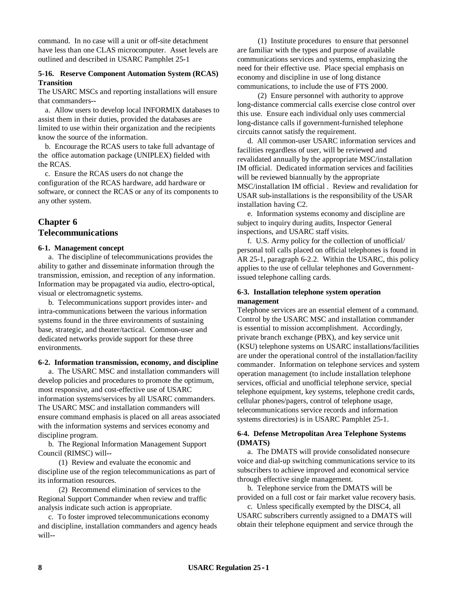command. In no case will a unit or off*-*site detachment have less than one CLAS microcomputer. Asset levels are outlined and described in USARC Pamphlet 25*-*1

## **5***-***16. Reserve Component Automation System (RCAS) Transition**

The USARC MSCs and reporting installations will ensure that commanders*--*

a. Allow users to develop local INFORMIX databases to assist them in their duties, provided the databases are limited to use within their organization and the recipients know the source of the information.

b. Encourage the RCAS users to take full advantage of the office automation package (UNIPLEX) fielded with the RCAS.

c. Ensure the RCAS users do not change the configuration of the RCAS hardware, add hardware or software, or connect the RCAS or any of its components to any other system.

# **Chapter 6 Telecommunications**

## **6***-***1. Management concept**

a. The discipline of telecommunications provides the ability to gather and disseminate information through the transmission, emission, and reception of any information. Information may be propagated via audio, electro*-*optical, visual or electromagnetic systems.

b. Telecommunications support provides inter*-* and intra*-*communications between the various information systems found in the three environments of sustaining base, strategic, and theater/tactical. Common*-*user and dedicated networks provide support for these three environments.

# **6***-***2. Information transmission, economy, and discipline**

a.The USARC MSC and installation commanders will develop policies and procedures to promote the optimum, most responsive, and cost*-*effective use of USARC information systems/services by all USARC commanders. The USARC MSC and installation commanders will ensure command emphasis is placed on all areas associated with the information systems and services economy and discipline program.

b. The Regional Information Management Support Council (RIMSC) will*--*

(1) Review and evaluate the economic and discipline use of the region telecommunications as part of its information resources.

(2) Recommend elimination of services to the Regional Support Commander when review and traffic analysis indicate such action is appropriate.

c. To foster improved telecommunications economy and discipline, installation commanders and agency heads will*--*

(1) Institute procedures to ensure that personnel are familiar with the types and purpose of available communications services and systems, emphasizing the need for their effective use. Place special emphasis on economy and discipline in use of long distance communications, to include the use of FTS 2000.

(2) Ensure personnel with authority to approve long*-*distance commercial calls exercise close control over this use. Ensure each individual only uses commercial long*-*distance calls if government*-*furnished telephone circuits cannot satisfy the requirement.

d. All common*-*user USARC information services and facilities regardless of user, will be reviewed and revalidated annually by the appropriate MSC/installation IM official. Dedicated information services and facilities will be reviewed biannually by the appropriate MSC/installation IM official . Review and revalidation for USAR sub*-*installations is the responsibility of the USAR installation having C2.

e. Information systems economy and discipline are subject to inquiry during audits, Inspector General inspections, and USARC staff visits.

f. U.S. Army policy for the collection of unofficial/ personal toll calls placed on official telephones is found in AR 25-1, paragraph 6-2.2. Within the USARC, this policy applies to the use of cellular telephones and Governmentissued telephone calling cards.

## **6***-***3. Installation telephone system operation management**

Telephone services are an essential element of a command. Control by the USARC MSC and installation commander is essential to mission accomplishment. Accordingly, private branch exchange (PBX), and key service unit (KSU) telephone systems on USARC installations/facilities are under the operational control of the installation/facility commander. Information on telephone services and system operation management (to include installation telephone services, official and unofficial telephone service, special telephone equipment, key systems, telephone credit cards, cellular phones/pagers, control of telephone usage, telecommunications service records and information systems directories) is in USARC Pamphlet 25*-*1.

# **6***-***4. Defense Metropolitan Area Telephone Systems (DMATS)**

a. The DMATS will provide consolidated nonsecure voice and dial*-*up switching communications service to its subscribers to achieve improved and economical service through effective single management.

b. Telephone service from the DMATS will be provided on a full cost or fair market value recovery basis.

c. Unless specifically exempted by the DISC4, all USARC subscribers currently assigned to a DMATS will obtain their telephone equipment and service through the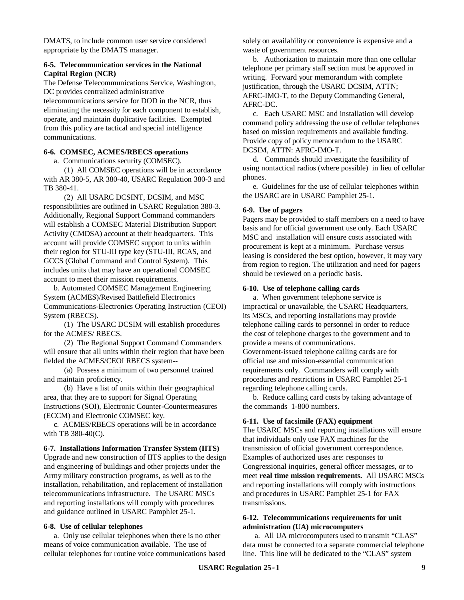DMATS, to include common user service considered appropriate by the DMATS manager.

## **6***-***5. Telecommunication services in the National Capital Region (NCR)**

The Defense Telecommunications Service, Washington, DC provides centralized administrative telecommunications service for DOD in the NCR, thus eliminating the necessity for each component to establish, operate, and maintain duplicative facilities. Exempted from this policy are tactical and special intelligence communications.

# **6***-***6. COMSEC, ACMES/RBECS operations**

a. Communications security (COMSEC).

(1) All COMSEC operations will be in accordance with AR 380*-*5, AR 380*-*40, USARC Regulation 380*-*3 and TB 380*-*41.

(2) All USARC DCSINT, DCSIM, and MSC responsibilities are outlined in USARC Regulation 380*-*3. Additionally, Regional Support Command commanders will establish a COMSEC Material Distribution Support Activity (CMDSA) account at their headquarters. This account will provide COMSEC support to units within their region for STU*-*III type key (STU*-*III, RCAS, and GCCS (Global Command and Control System). This includes units that may have an operational COMSEC account to meet their mission requirements.

b. Automated COMSEC Management Engineering System (ACMES)/Revised Battlefield Electronics Communications*-*Electronics Operating Instruction (CEOI) System (RBECS).

(1) The USARC DCSIM will establish procedures for the ACMES/ RBECS.

(2) The Regional Support Command Commanders will ensure that all units within their region that have been fielded the ACMES/CEOI RBECS system*--*

(a) Possess a minimum of two personnel trained and maintain proficiency.

(b) Have a list of units within their geographical area, that they are to support for Signal Operating Instructions (SOI), Electronic Counter*-*Countermeasures (ECCM) and Electronic COMSEC key.

c. ACMES/RBECS operations will be in accordance with TB 380*-*40(C).

#### **6***-***7. Installations Information Transfer System (IITS)**

Upgrade and new construction of IITS applies to the design and engineering of buildings and other projects under the Army military construction programs, as well as to the installation, rehabilitation, and replacement of installation telecommunications infrastructure. The USARC MSCs and reporting installations will comply with procedures and guidance outlined in USARC Pamphlet 25*-*1.

#### **6***-***8. Use of cellular telephones**

a. Only use cellular telephones when there is no other means of voice communication available. The use of cellular telephones for routine voice communications based solely on availability or convenience is expensive and a waste of government resources.

b. Authorization to maintain more than one cellular telephone per primary staff section must be approved in writing. Forward your memorandum with complete justification, through the USARC DCSIM, ATTN; AFRC-IMO-T, to the Deputy Commanding General, AFRC-DC.

c. Each USARC MSC and installation will develop command policy addressing the use of cellular telephones based on mission requirements and available funding. Provide copy of policy memorandum to the USARC DCSIM, ATTN: AFRC-IMO-T.

d. Commands should investigate the feasibility of using nontactical radios (where possible) in lieu of cellular phones.

e. Guidelines for the use of cellular telephones within the USARC are in USARC Pamphlet 25*-*1.

#### **6-9. Use of pagers**

Pagers may be provided to staff members on a need to have basis and for official government use only. Each USARC MSC and installation will ensure costs associated with procurement is kept at a minimum. Purchase versus leasing is considered the best option, however, it may vary from region to region. The utilization and need for pagers should be reviewed on a periodic basis.

#### **6***-***10. Use of telephone calling cards**

a. When government telephone service is impractical or unavailable, the USARC Headquarters, its MSCs, and reporting installations may provide telephone calling cards to personnel in order to reduce the cost of telephone charges to the government and to provide a means of communications. Government*-*issued telephone calling cards are for official use and mission*-*essential communication requirements only. Commanders will comply with procedures and restrictions in USARC Pamphlet 25*-*1 regarding telephone calling cards.

b. Reduce calling card costs by taking advantage of the commands 1-800 numbers.

#### **6***-***11. Use of facsimile (FAX) equipment**

The USARC MSCs and reporting installations will ensure that individuals only use FAX machines for the transmission of official government correspondence. Examples of authorized uses are: responses to Congressional inquiries, general officer messages, or to meet **real time mission requirements.** All USARC MSCs and reporting installations will comply with instructions and procedures in USARC Pamphlet 25*-*1 for FAX transmissions.

### **6***-***12. Telecommunications requirements for unit administration (UA) microcomputers**

 a. All UA microcomputers used to transmit "CLAS" data must be connected to a separate commercial telephone line. This line will be dedicated to the "CLAS" system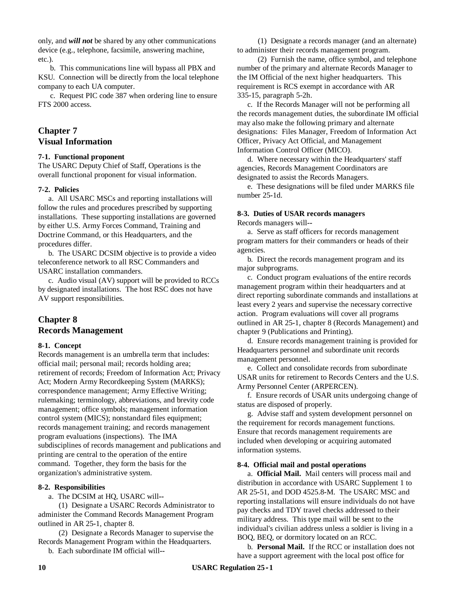only, and *will not* be shared by any other communications device (e.g., telephone, facsimile, answering machine, etc.).

 b. This communications line will bypass all PBX and KSU. Connection will be directly from the local telephone company to each UA computer.

 c. Request PIC code 387 when ordering line to ensure FTS 2000 access.

# **Chapter 7 Visual Information**

#### **7***-***1. Functional proponent**

The USARC Deputy Chief of Staff, Operations is the overall functional proponent for visual information.

#### **7***-***2. Policies**

a. All USARC MSCs and reporting installations will follow the rules and procedures prescribed by supporting installations. These supporting installations are governed by either U.S. Army Forces Command, Training and Doctrine Command, or this Headquarters, and the procedures differ.

b. The USARC DCSIM objective is to provide a video teleconference network to all RSC Commanders and USARC installation commanders.

c. Audio visual (AV) support will be provided to RCCs by designated installations. The host RSC does not have AV support responsibilities.

# **Chapter 8 Records Management**

#### **8***-***1. Concept**

Records management is an umbrella term that includes: official mail; personal mail; records holding area; retirement of records; Freedom of Information Act; Privacy Act; Modern Army Recordkeeping System (MARKS); correspondence management; Army Effective Writing; rulemaking; terminology, abbreviations, and brevity code management; office symbols; management information control system (MICS); nonstandard files equipment; records management training; and records management program evaluations (inspections). The IMA subdisciplines of records management and publications and printing are central to the operation of the entire command. Together, they form the basis for the organization's administrative system.

# **8***-***2. Responsibilities**

a. The DCSIM at HQ, USARC will*--*

(1) Designate a USARC Records Administrator to administer the Command Records Management Program outlined in AR 25*-*1, chapter 8.

(2) Designate a Records Manager to supervise the Records Management Program within the Headquarters.

b. Each subordinate IM official will*--*

(1) Designate a records manager (and an alternate) to administer their records management program.

(2) Furnish the name, office symbol, and telephone number of the primary and alternate Records Manager to the IM Official of the next higher headquarters. This requirement is RCS exempt in accordance with AR 335-15, paragraph 5-2h.

c. If the Records Manager will not be performing all the records management duties, the subordinate IM official may also make the following primary and alternate designations: Files Manager, Freedom of Information Act Officer, Privacy Act Official, and Management Information Control Officer (MICO).

d. Where necessary within the Headquarters' staff agencies, Records Management Coordinators are designated to assist the Records Managers.

e. These designations will be filed under MARKS file number 25*-*1d.

# **8***-***3. Duties of USAR records managers**

Records managers will*--*

a. Serve as staff officers for records management program matters for their commanders or heads of their agencies.

b. Direct the records management program and its major subprograms.

c. Conduct program evaluations of the entire records management program within their headquarters and at direct reporting subordinate commands and installations at least every 2 years and supervise the necessary corrective action. Program evaluations will cover all programs outlined in AR 25*-*1, chapter 8 (Records Management) and chapter 9 (Publications and Printing).

d. Ensure records management training is provided for Headquarters personnel and subordinate unit records management personnel.

e. Collect and consolidate records from subordinate USAR units for retirement to Records Centers and the U.S. Army Personnel Center (ARPERCEN).

f. Ensure records of USAR units undergoing change of status are disposed of properly.

g. Advise staff and system development personnel on the requirement for records management functions. Ensure that records management requirements are included when developing or acquiring automated information systems.

#### **8***-***4. Official mail and postal operations**

a. **Official Mail.** Mail centers will process mail and distribution in accordance with USARC Supplement 1 to AR 25*-*51, and DOD 4525.8*-*M. The USARC MSC and reporting installations will ensure individuals do not have pay checks and TDY travel checks addressed to their military address. This type mail will be sent to the individual's civilian address unless a soldier is living in a BOQ, BEQ, or dormitory located on an RCC.

b. **Personal Mail.** If the RCC or installation does not have a support agreement with the local post office for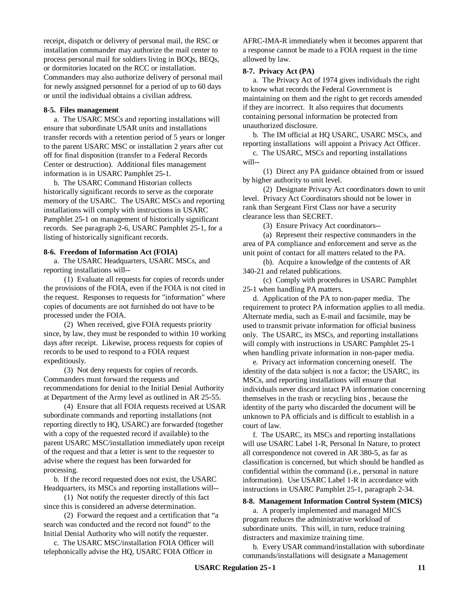receipt, dispatch or delivery of personal mail, the RSC or installation commander may authorize the mail center to process personal mail for soldiers living in BOQs, BEQs, or dormitories located on the RCC or installation. Commanders may also authorize delivery of personal mail for newly assigned personnel for a period of up to 60 days or until the individual obtains a civilian address.

#### **8***-***5. Files management**

a. The USARC MSCs and reporting installations will ensure that subordinate USAR units and installations transfer records with a retention period of 5 years or longer to the parent USARC MSC or installation 2 years after cut off for final disposition (transfer to a Federal Records Center or destruction). Additional files management information is in USARC Pamphlet 25*-*1.

b. The USARC Command Historian collects historically significant records to serve as the corporate memory of the USARC. The USARC MSCs and reporting installations will comply with instructions in USARC Pamphlet 25*-*1 on management of historically significant records. See paragraph 2-6, USARC Pamphlet 25-1, for a listing of historically significant records.

#### **8***-***6. Freedom of Information Act (FOIA)**

a. The USARC Headquarters, USARC MSCs, and reporting installations will*--*

(1) Evaluate all requests for copies of records under the provisions of the FOIA, even if the FOIA is not cited in the request. Responses to requests for "information" where copies of documents are not furnished do not have to be processed under the FOIA.

(2) When received, give FOIA requests priority since, by law, they must be responded to within 10 working days after receipt. Likewise, process requests for copies of records to be used to respond to a FOIA request expeditiously.

(3) Not deny requests for copies of records. Commanders must forward the requests and recommendations for denial to the Initial Denial Authority at Department of the Army level as outlined in AR 25*-*55.

(4) Ensure that all FOIA requests received at USAR subordinate commands and reporting installations (not reporting directly to HQ, USARC) are forwarded (together with a copy of the requested record if available) to the parent USARC MSC/installation immediately upon receipt of the request and that a letter is sent to the requester to advise where the request has been forwarded for processing.

b. If the record requested does not exist, the USARC Headquarters, its MSCs and reporting installations will*--*

(1) Not notify the requester directly of this fact since this is considered an adverse determination.

(2) Forward the request and a certification that "a search was conducted and the record not found" to the Initial Denial Authority who will notify the requester.

c. The USARC MSC/installation FOIA Officer will telephonically advise the HQ, USARC FOIA Officer in

AFRC*-*IMA*-*R immediately when it becomes apparent that a response cannot be made to a FOIA request in the time allowed by law.

#### **8***-***7. Privacy Act (PA)**

a. The Privacy Act of 1974 gives individuals the right to know what records the Federal Government is maintaining on them and the right to get records amended if they are incorrect. It also requires that documents containing personal information be protected from unauthorized disclosure.

b. The IM official at HQ USARC, USARC MSCs, and reporting installations will appoint a Privacy Act Officer.

c. The USARC, MSCs and reporting installations will*--*

(1) Direct any PA guidance obtained from or issued by higher authority to unit level.

(2) Designate Privacy Act coordinators down to unit level. Privacy Act Coordinators should not be lower in rank than Sergeant First Class nor have a security clearance less than SECRET.

(3) Ensure Privacy Act coordinators--

(a) Represent their respective commanders in the area of PA compliance and enforcement and serve as the unit point of contact for all matters related to the PA.

(b). Acquire a knowledge of the contents of AR 340-21 and related publications.

(c) Comply with procedures in USARC Pamphlet 25*-*1 when handling PA matters.

d. Application of the PA to non*-*paper media. The requirement to protect PA information applies to all media. Alternate media, such as E*-*mail and facsimile, may be used to transmit private information for official business only. The USARC, its MSCs, and reporting installations will comply with instructions in USARC Pamphlet 25*-*1 when handling private information in non*-*paper media.

e. Privacy act information concerning oneself. The identity of the data subject is not a factor; the USARC, its MSCs, and reporting installations will ensure that individuals never discard intact PA information concerning themselves in the trash or recycling bins , because the identity of the party who discarded the document will be unknown to PA officials and is difficult to establish in a court of law.

f. The USARC, its MSCs and reporting installations will use USARC Label 1*-*R, Personal In Nature, to protect all correspondence not covered in AR 380*-*5, as far as classification is concerned, but which should be handled as confidential within the command (i.e., personal in nature information). Use USARC Label 1-R in accordance with instructions in USARC Pamphlet 25-1, paragraph 2-34.

#### **8***-***8. Management Information Control System (MICS)**

a. A properly implemented and managed MICS program reduces the administrative workload of subordinate units. This will, in turn, reduce training distracters and maximize training time.

b. Every USAR command/installation with subordinate commands/installations will designate a Management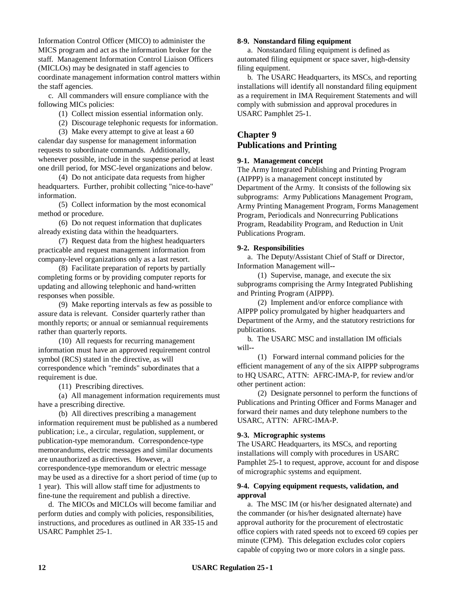Information Control Officer (MICO) to administer the MICS program and act as the information broker for the staff. Management Information Control Liaison Officers (MICLOs) may be designated in staff agencies to coordinate management information control matters within the staff agencies.

c. All commanders will ensure compliance with the following MICs policies:

- (1) Collect mission essential information only.
- (2) Discourage telephonic requests for information.

(3) Make every attempt to give at least a 60 calendar day suspense for management information requests to subordinate commands. Additionally, whenever possible, include in the suspense period at least one drill period, for MSC-level organizations and below.

(4) Do not anticipate data requests from higher headquarters. Further, prohibit collecting "nice-to-have" information.

(5) Collect information by the most economical method or procedure.

(6) Do not request information that duplicates already existing data within the headquarters.

(7) Request data from the highest headquarters practicable and request management information from company-level organizations only as a last resort.

(8) Facilitate preparation of reports by partially completing forms or by providing computer reports for updating and allowing telephonic and hand-written responses when possible.

(9) Make reporting intervals as few as possible to assure data is relevant. Consider quarterly rather than monthly reports; or annual or semiannual requirements rather than quarterly reports.

(10) All requests for recurring management information must have an approved requirement control symbol (RCS) stated in the directive, as will correspondence which "reminds" subordinates that a requirement is due.

(11) Prescribing directives.

(a) All management information requirements must have a prescribing directive.

(b) All directives prescribing a management information requirement must be published as a numbered publication; i.e., a circular, regulation, supplement, or publication-type memorandum. Correspondence-type memorandums, electric messages and similar documents are unauthorized as directives. However, a correspondence-type memorandum or electric message may be used as a directive for a short period of time (up to 1 year). This will allow staff time for adjustments to fine-tune the requirement and publish a directive.

d. The MICOs and MICLOs will become familiar and perform duties and comply with policies, responsibilities, instructions, and procedures as outlined in AR 335*-*15 and USARC Pamphlet 25*-*1.

## **8***-***9. Nonstandard filing equipment**

a. Nonstandard filing equipment is defined as automated filing equipment or space saver, high*-*density filing equipment.

b. The USARC Headquarters, its MSCs, and reporting installations will identify all nonstandard filing equipment as a requirement in IMA Requirement Statements and will comply with submission and approval procedures in USARC Pamphlet 25*-*1.

# **Chapter 9 Publications and Printing**

#### **9***-***1. Management concept**

The Army Integrated Publishing and Printing Program (AIPPP) is a management concept instituted by Department of the Army. It consists of the following six subprograms: Army Publications Management Program, Army Printing Management Program, Forms Management Program, Periodicals and Nonrecurring Publications Program, Readability Program, and Reduction in Unit Publications Program.

## **9***-***2. Responsibilities**

a. The Deputy/Assistant Chief of Staff or Director, Information Management will*--*

(1) Supervise, manage, and execute the six subprograms comprising the Army Integrated Publishing and Printing Program (AIPPP).

(2) Implement and/or enforce compliance with AIPPP policy promulgated by higher headquarters and Department of the Army, and the statutory restrictions for publications.

b. The USARC MSC and installation IM officials will*--*

(1) Forward internal command policies for the efficient management of any of the six AIPPP subprograms to HQ USARC, ATTN: AFRC*-*IMA*-*P, for review and/or other pertinent action:

(2) Designate personnel to perform the functions of Publications and Printing Officer and Forms Manager and forward their names and duty telephone numbers to the USARC, ATTN: AFRC*-*IMA*-*P.

#### **9***-***3. Micrographic systems**

The USARC Headquarters, its MSCs, and reporting installations will comply with procedures in USARC Pamphlet 25*-*1 to request, approve, account for and dispose of micrographic systems and equipment.

## **9***-***4. Copying equipment requests, validation, and approval**

a. The MSC IM (or his/her designated alternate) and the commander (or his/her designated alternate) have approval authority for the procurement of electrostatic office copiers with rated speeds not to exceed 69 copies per minute (CPM). This delegation excludes color copiers capable of copying two or more colors in a single pass.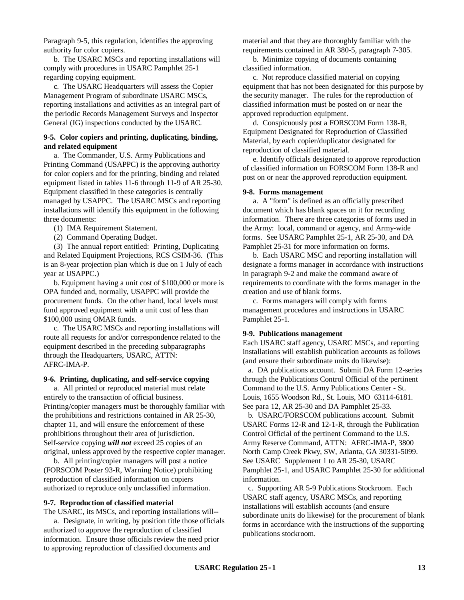Paragraph 9-5, this regulation, identifies the approving authority for color copiers.

b. The USARC MSCs and reporting installations will comply with procedures in USARC Pamphlet 25*-*1 regarding copying equipment.

c. The USARC Headquarters will assess the Copier Management Program of subordinate USARC MSCs, reporting installations and activities as an integral part of the periodic Records Management Surveys and Inspector General (IG) inspections conducted by the USARC.

# **9***-***5. Color copiers and printing, duplicating, binding, and related equipment**

a. The Commander, U.S. Army Publications and Printing Command (USAPPC) is the approving authority for color copiers and for the printing, binding and related equipment listed in tables 11*-*6 through 11*-*9 of AR 25*-*30. Equipment classified in these categories is centrally managed by USAPPC. The USARC MSCs and reporting installations will identify this equipment in the following three documents:

(1) IMA Requirement Statement.

(2) Command Operating Budget.

(3) The annual report entitled: Printing, Duplicating and Related Equipment Projections, RCS CSIM*-*36. (This is an 8*-*year projection plan which is due on 1 July of each year at USAPPC.)

b. Equipment having a unit cost of \$100,000 or more is OPA funded and, normally, USAPPC will provide the procurement funds. On the other hand, local levels must fund approved equipment with a unit cost of less than \$100,000 using OMAR funds.

c. The USARC MSCs and reporting installations will route all requests for and/or correspondence related to the equipment described in the preceding subparagraphs through the Headquarters, USARC, ATTN: AFRC*-*IMA*-*P.

## **9***-***6. Printing, duplicating, and self***-***service copying**

a. All printed or reproduced material must relate entirely to the transaction of official business. Printing/copier managers must be thoroughly familiar with the prohibitions and restrictions contained in AR 25*-*30, chapter 11, and will ensure the enforcement of these prohibitions throughout their area of jurisdiction. Self*-*service copying *will not* exceed 25 copies of an original, unless approved by the respective copier manager.

b. All printing/copier managers will post a notice (FORSCOM Poster 93*-*R, Warning Notice) prohibiting reproduction of classified information on copiers authorized to reproduce only unclassified information.

## **9***-***7. Reproduction of classified material**

The USARC, its MSCs, and reporting installations will*--*

a. Designate, in writing, by position title those officials authorized to approve the reproduction of classified information. Ensure those officials review the need prior to approving reproduction of classified documents and

material and that they are thoroughly familiar with the requirements contained in AR 380*-*5, paragraph 7*-*305.

b. Minimize copying of documents containing classified information.

c. Not reproduce classified material on copying equipment that has not been designated for this purpose by the security manager. The rules for the reproduction of classified information must be posted on or near the approved reproduction equipment.

d. Conspicuously post a FORSCOM Form 138*-*R, Equipment Designated for Reproduction of Classified Material, by each copier/duplicator designated for reproduction of classified material.

e. Identify officials designated to approve reproduction of classified information on FORSCOM Form 138*-*R and post on or near the approved reproduction equipment.

#### **9***-***8. Forms management**

a. A "form" is defined as an officially prescribed document which has blank spaces on it for recording information. There are three categories of forms used in the Army: local, command or agency, and Army*-*wide forms. See USARC Pamphlet 25*-*1, AR 25*-*30, and DA Pamphlet 25*-*31 for more information on forms.

b. Each USARC MSC and reporting installation will designate a forms manager in accordance with instructions in paragraph 9*-*2 and make the command aware of requirements to coordinate with the forms manager in the creation and use of blank forms.

c. Forms managers will comply with forms management procedures and instructions in USARC Pamphlet 25*-*1.

#### **9***-***9. Publications management**

Each USARC staff agency, USARC MSCs, and reporting installations will establish publication accounts as follows (and ensure their subordinate units do likewise):

a. DA publications account. Submit DA Form 12*-*series through the Publications Control Official of the pertinent Command to the U.S. Army Publications Center - St. Louis, 1655 Woodson Rd., St. Louis, MO 63114-6181. See para 12, AR 25*-*30 and DA Pamphlet 25*-*33.

b. USARC/FORSCOM publications account. Submit USARC Forms 12*-*R and 12*-*1*-*R, through the Publication Control Official of the pertinent Command to the U.S. Army Reserve Command, ATTN: AFRC*-*IMA*-*P, 3800 North Camp Creek Pkwy, SW, Atlanta, GA 30331*-*5099. See USARC Supplement 1 to AR 25*-*30, USARC Pamphlet 25*-*1, and USARC Pamphlet 25*-*30 for additional information.

c. Supporting AR 5*-*9 Publications Stockroom. Each USARC staff agency, USARC MSCs, and reporting installations will establish accounts (and ensure subordinate units do likewise) for the procurement of blank forms in accordance with the instructions of the supporting publications stockroom.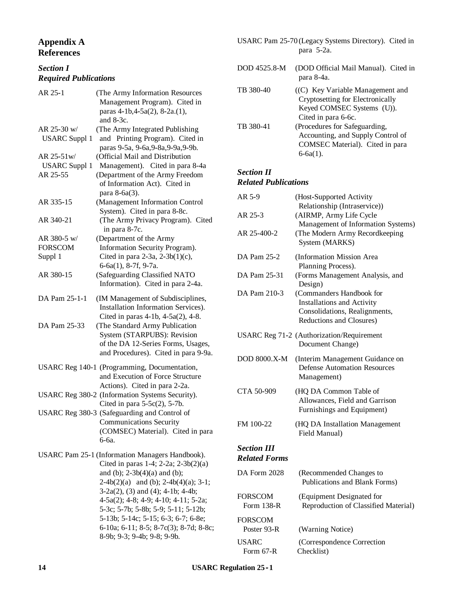# **Appendix A References**

# *Section I Required Publications*

| AR 25-1                                                                          | (The Army Information Resources<br>Management Program). Cited in<br>paras 4-1b, 4-5a(2), 8-2a.(1),<br>and $8-3c$ .                          |  |
|----------------------------------------------------------------------------------|---------------------------------------------------------------------------------------------------------------------------------------------|--|
| AR 25-30 w/<br><b>USARC</b> Suppl 1                                              | (The Army Integrated Publishing<br>and Printing Program). Cited in<br>paras 9-5a, 9-6a, 9-8a, 9-9a, 9-9b.                                   |  |
| AR 25-51w/                                                                       | (Official Mail and Distribution                                                                                                             |  |
| <b>USARC</b> Suppl 1                                                             | Management). Cited in para 8-4a                                                                                                             |  |
| AR 25-55                                                                         | (Department of the Army Freedom<br>of Information Act). Cited in<br>para 8-6a(3).                                                           |  |
| AR 335-15                                                                        | (Management Information Control<br>System). Cited in para 8-8c.                                                                             |  |
| AR 340-21                                                                        | (The Army Privacy Program). Cited<br>in para 8-7c.                                                                                          |  |
| AR 380-5 w/                                                                      | (Department of the Army                                                                                                                     |  |
| <b>FORSCOM</b>                                                                   | Information Security Program).                                                                                                              |  |
| Suppl 1                                                                          | Cited in para 2-3a, 2-3b(1)(c),<br>$6-6a(1)$ , 8-7f, 9-7a.                                                                                  |  |
| AR 380-15                                                                        | (Safeguarding Classified NATO<br>Information). Cited in para 2-4a.                                                                          |  |
| DA Pam 25-1-1                                                                    | (IM Management of Subdisciplines,<br>Installation Information Services).<br>Cited in paras 4-1b, 4-5a(2), 4-8.                              |  |
| DA Pam 25-33                                                                     | (The Standard Army Publication<br>System (STARPUBS): Revision<br>of the DA 12-Series Forms, Usages,<br>and Procedures). Cited in para 9-9a. |  |
| USARC Reg 140-1 (Programming, Documentation,<br>and Execution of Force Structure |                                                                                                                                             |  |
|                                                                                  | Actions). Cited in para 2-2a.<br>USARC Reg 380-2 (Information Systems Security).<br>Cited in para $5-5c(2)$ , $5-7b$ .                      |  |
|                                                                                  | USARC Reg 380-3 (Safeguarding and Control of<br><b>Communications Security</b><br>(COMSEC) Material). Cited in para<br>6-6a.                |  |
| USARC Pam 25-1 (Information Managers Handbook).                                  |                                                                                                                                             |  |
|                                                                                  | Cited in paras $1-4$ ; $2-2a$ ; $2-3b(2)(a)$                                                                                                |  |
|                                                                                  | and (b); $2-3b(4)(a)$ and (b);                                                                                                              |  |
|                                                                                  | $2-4b(2)(a)$ and (b); $2-4b(4)(a)$ ; $3-1$ ;                                                                                                |  |
|                                                                                  | $3-2a(2)$ , (3) and (4); 4-1b; 4-4b;                                                                                                        |  |
|                                                                                  | 4-5a(2); 4-8; 4-9; 4-10; 4-11; 5-2a;                                                                                                        |  |
|                                                                                  | 5-3c; 5-7b; 5-8b; 5-9; 5-11; 5-12b;                                                                                                         |  |
|                                                                                  | 5-13b; 5-14c; 5-15; 6-3; 6-7; 6-8e;                                                                                                         |  |
|                                                                                  | 6-10a; 6-11; 8-5; 8-7c(3); 8-7d; 8-8c;                                                                                                      |  |
|                                                                                  | 8-9b; 9-3; 9-4b; 9-8; 9-9b.                                                                                                                 |  |

USARC Pam 25-70 (Legacy Systems Directory). Cited in para 5-2a.

DOD 4525.8-M (DOD Official Mail Manual). Cited in para 8-4a. TB 380-40 ((C) Key Variable Management and Cryptosetting for Electronically Keyed COMSEC Systems (U)). Cited in para 6-6c. TB 380-41 (Procedures for Safeguarding, Accounting, and Supply Control of COMSEC Material). Cited in para 6-6a(1).

# *Section II Related Publications*

| AR 5-9                                     | (Host-Supported Activity                                                                                                   |
|--------------------------------------------|----------------------------------------------------------------------------------------------------------------------------|
| AR 25-3                                    | Relationship (Intraservice))<br>(AIRMP, Army Life Cycle                                                                    |
| AR 25-400-2                                | Management of Information Systems)<br>(The Modern Army Recordkeeping<br>System (MARKS)                                     |
| DA Pam 25-2                                | (Information Mission Area<br>Planning Process).                                                                            |
| DA Pam 25-31                               | (Forms Management Analysis, and<br>Design)                                                                                 |
| DA Pam 210-3                               | (Commanders Handbook for<br><b>Installations and Activity</b><br>Consolidations, Realignments,<br>Reductions and Closures) |
|                                            | USARC Reg 71-2 (Authorization/Requirement<br>Document Change)                                                              |
| <b>DOD 8000.X-M</b>                        | (Interim Management Guidance on<br><b>Defense Automation Resources</b><br>Management)                                      |
| CTA 50-909                                 | (HQ DA Common Table of<br>Allowances, Field and Garrison<br>Furnishings and Equipment)                                     |
| FM 100-22                                  | (HQ DA Installation Management<br>Field Manual)                                                                            |
| <b>Section III</b><br><b>Related Forms</b> |                                                                                                                            |
| DA Form 2028                               | (Recommended Changes to<br>Publications and Blank Forms)                                                                   |
| <b>FORSCOM</b><br>Form 138-R               | (Equipment Designated for<br>Reproduction of Classified Material)                                                          |
| FORSCOM<br>Poster 93-R                     | (Warning Notice)                                                                                                           |
| <b>USARC</b><br>Form 67-R                  | (Correspondence Correction<br>Checklist)                                                                                   |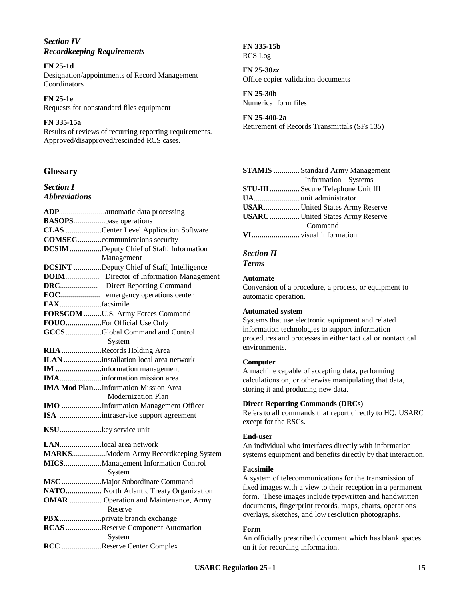# *Section IV Recordkeeping Requirements*

### **FN 25***-***1d**

Designation/appointments of Record Management Coordinators

**FN 25***-***1e** Requests for nonstandard files equipment

# **FN 335***-***15a**

Results of reviews of recurring reporting requirements. Approved/disapproved/rescinded RCS cases.

# **Glossary**

*Section I Abbreviations*

|              | ADPautomatic data processing                      |
|--------------|---------------------------------------------------|
|              | <b>BASOPSbase operations</b>                      |
|              | CLAS Center Level Application Software            |
|              | <b>COMSECcommunications security</b>              |
|              | <b>DCSIM</b> Deputy Chief of Staff, Information   |
|              | Management                                        |
|              | <b>DCSINT</b> Deputy Chief of Staff, Intelligence |
|              | <b>DOIM</b> Director of Information Management    |
|              | <b>DRC</b> Direct Reporting Command               |
|              | <b>EOC</b> emergency operations center            |
| FAXfacsimile |                                                   |
|              | FORSCOM U.S. Army Forces Command                  |
|              | FOUOFor Official Use Only                         |
|              | GCCSGlobal Command and Control                    |
|              | System                                            |
|              | RHA Records Holding Area                          |
|              | ILANinstallation local area network               |
|              | IM information management                         |
|              | IMAinformation mission area                       |
|              | <b>IMA Mod PlanInformation Mission Area</b>       |
|              | Modernization Plan                                |
|              | IMO Information Management Officer                |
|              | ISA intraservice support agreement                |
|              | KSUkey service unit                               |
|              |                                                   |
|              | LANlocal area network                             |
|              | MARKSModern Army Recordkeeping System             |
|              | MICSManagement Information Control<br>System      |
|              | MSC  Major Subordinate Command                    |
|              | NATO North Atlantic Treaty Organization           |
|              | <b>OMAR</b> Operation and Maintenance, Army       |
|              | Reserve                                           |
|              | PBXprivate branch exchange                        |
|              | RCAS Reserve Component Automation                 |
|              | System                                            |
|              | RCC Reserve Center Complex                        |
|              |                                                   |

**FN 335***-***15b** RCS Log

**FN 25***-***30zz** Office copier validation documents

**FN 25***-***30b** Numerical form files

# **FN 25***-***400***-***2a**

Retirement of Records Transmittals (SFs 135)

| <b>STAMIS</b> Standard Army Management  |
|-----------------------------------------|
| Information Systems                     |
| STU-III  Secure Telephone Unit III      |
|                                         |
|                                         |
| <b>USARC</b> United States Army Reserve |
| Command                                 |
|                                         |

# *Section II*

*Terms*

# **Automate**

Conversion of a procedure, a process, or equipment to automatic operation.

# **Automated system**

Systems that use electronic equipment and related information technologies to support information procedures and processes in either tactical or nontactical environments.

# **Computer**

A machine capable of accepting data, performing calculations on, or otherwise manipulating that data, storing it and producing new data.

# **Direct Reporting Commands (DRCs)**

Refers to all commands that report directly to HQ, USARC except for the RSCs.

# **End***-***user**

An individual who interfaces directly with information systems equipment and benefits directly by that interaction.

# **Facsimile**

A system of telecommunications for the transmission of fixed images with a view to their reception in a permanent form. These images include typewritten and handwritten documents, fingerprint records, maps, charts, operations overlays, sketches, and low resolution photographs.

# **Form**

An officially prescribed document which has blank spaces on it for recording information.